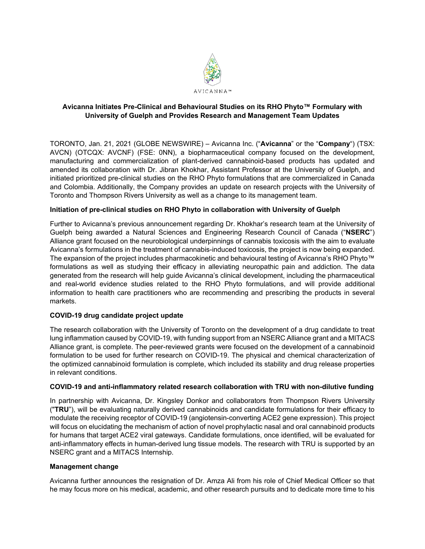

# **Avicanna Initiates Pre-Clinical and Behavioural Studies on its RHO Phyto™ Formulary with University of Guelph and Provides Research and Management Team Updates**

TORONTO, Jan. 21, 2021 (GLOBE NEWSWIRE) – Avicanna Inc. ("**Avicanna**" or the "**Company**") (TSX: AVCN) (OTCQX: AVCNF) (FSE: 0NN), a biopharmaceutical company focused on the development, manufacturing and commercialization of plant-derived cannabinoid-based products has updated and amended its collaboration with Dr. Jibran Khokhar, Assistant Professor at the University of Guelph, and initiated prioritized pre-clinical studies on the RHO Phyto formulations that are commercialized in Canada and Colombia. Additionally, the Company provides an update on research projects with the University of Toronto and Thompson Rivers University as well as a change to its management team.

## **Initiation of pre-clinical studies on RHO Phyto in collaboration with University of Guelph**

Further to Avicanna's previous announcement regarding Dr. Khokhar's research team at the University of Guelph being awarded a Natural Sciences and Engineering Research Council of Canada ("**NSERC**") Alliance grant focused on the neurobiological underpinnings of cannabis toxicosis with the aim to evaluate Avicanna's formulations in the treatment of cannabis-induced toxicosis, the project is now being expanded. The expansion of the project includes pharmacokinetic and behavioural testing of Avicanna's RHO Phyto™ formulations as well as studying their efficacy in alleviating neuropathic pain and addiction. The data generated from the research will help guide Avicanna's clinical development, including the pharmaceutical and real-world evidence studies related to the RHO Phyto formulations, and will provide additional information to health care practitioners who are recommending and prescribing the products in several markets.

#### **COVID-19 drug candidate project update**

The research collaboration with the University of Toronto on the development of a drug candidate to treat lung inflammation caused by COVID-19, with funding support from an NSERC Alliance grant and a MITACS Alliance grant, is complete. The peer-reviewed grants were focused on the development of a cannabinoid formulation to be used for further research on COVID-19. The physical and chemical characterization of the optimized cannabinoid formulation is complete, which included its stability and drug release properties in relevant conditions.

#### **COVID-19 and anti-inflammatory related research collaboration with TRU with non-dilutive funding**

In partnership with Avicanna, Dr. Kingsley Donkor and collaborators from Thompson Rivers University ("**TRU**"), will be evaluating naturally derived cannabinoids and candidate formulations for their efficacy to modulate the receiving receptor of COVID-19 (angiotensin-converting ACE2 gene expression). This project will focus on elucidating the mechanism of action of novel prophylactic nasal and oral cannabinoid products for humans that target ACE2 viral gateways. Candidate formulations, once identified, will be evaluated for anti-inflammatory effects in human-derived lung tissue models. The research with TRU is supported by an NSERC grant and a MITACS Internship.

#### **Management change**

Avicanna further announces the resignation of Dr. Amza Ali from his role of Chief Medical Officer so that he may focus more on his medical, academic, and other research pursuits and to dedicate more time to his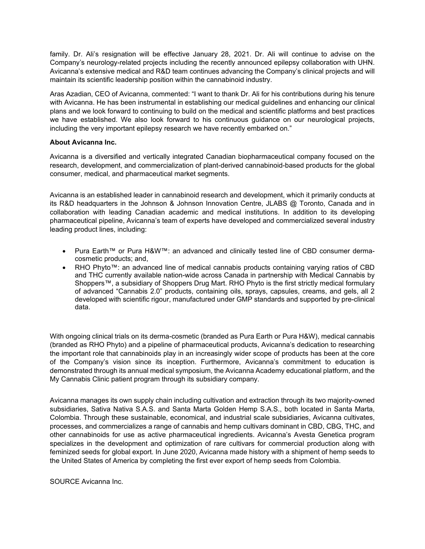family. Dr. Ali's resignation will be effective January 28, 2021. Dr. Ali will continue to advise on the Company's neurology-related projects including the recently announced epilepsy collaboration with UHN. Avicanna's extensive medical and R&D team continues advancing the Company's clinical projects and will maintain its scientific leadership position within the cannabinoid industry.

Aras Azadian, CEO of Avicanna, commented: "I want to thank Dr. Ali for his contributions during his tenure with Avicanna. He has been instrumental in establishing our medical guidelines and enhancing our clinical plans and we look forward to continuing to build on the medical and scientific platforms and best practices we have established. We also look forward to his continuous guidance on our neurological projects, including the very important epilepsy research we have recently embarked on."

## **About Avicanna Inc.**

Avicanna is a diversified and vertically integrated Canadian biopharmaceutical company focused on the research, development, and commercialization of plant-derived cannabinoid-based products for the global consumer, medical, and pharmaceutical market segments.

Avicanna is an established leader in cannabinoid research and development, which it primarily conducts at its R&D headquarters in the Johnson & Johnson Innovation Centre, JLABS @ Toronto, Canada and in collaboration with leading Canadian academic and medical institutions. In addition to its developing pharmaceutical pipeline, Avicanna's team of experts have developed and commercialized several industry leading product lines, including:

- Pura Earth™ or Pura H&W™: an advanced and clinically tested line of CBD consumer dermacosmetic products; and,
- RHO Phyto™: an advanced line of medical cannabis products containing varying ratios of CBD and THC currently available nation-wide across Canada in partnership with Medical Cannabis by Shoppers™, a subsidiary of Shoppers Drug Mart. RHO Phyto is the first strictly medical formulary of advanced "Cannabis 2.0" products, containing oils, sprays, capsules, creams, and gels, all 2 developed with scientific rigour, manufactured under GMP standards and supported by pre-clinical data.

With ongoing clinical trials on its derma-cosmetic (branded as Pura Earth or Pura H&W), medical cannabis (branded as RHO Phyto) and a pipeline of pharmaceutical products, Avicanna's dedication to researching the important role that cannabinoids play in an increasingly wider scope of products has been at the core of the Company's vision since its inception. Furthermore, Avicanna's commitment to education is demonstrated through its annual medical symposium, the Avicanna Academy educational platform, and the My Cannabis Clinic patient program through its subsidiary company.

Avicanna manages its own supply chain including cultivation and extraction through its two majority-owned subsidiaries, Sativa Nativa S.A.S. and Santa Marta Golden Hemp S.A.S., both located in Santa Marta, Colombia. Through these sustainable, economical, and industrial scale subsidiaries, Avicanna cultivates, processes, and commercializes a range of cannabis and hemp cultivars dominant in CBD, CBG, THC, and other cannabinoids for use as active pharmaceutical ingredients. Avicanna's Avesta Genetica program specializes in the development and optimization of rare cultivars for commercial production along with feminized seeds for global export. In June 2020, Avicanna made history with a shipment of hemp seeds to the United States of America by completing the first ever export of hemp seeds from Colombia.

SOURCE Avicanna Inc.